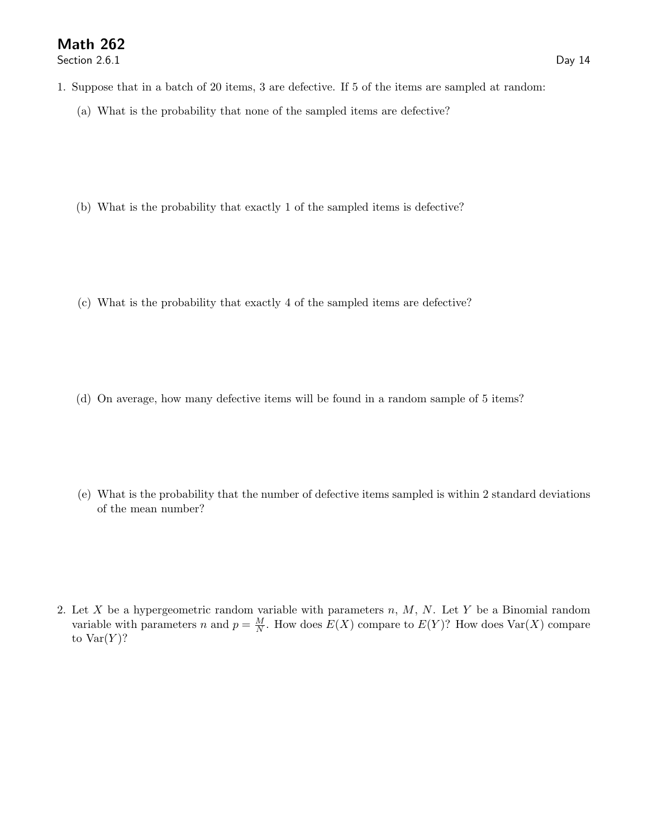Section 2.6.1 Day 14

- 1. Suppose that in a batch of 20 items, 3 are defective. If 5 of the items are sampled at random:
	- (a) What is the probability that none of the sampled items are defective?
	- (b) What is the probability that exactly 1 of the sampled items is defective?
	- (c) What is the probability that exactly 4 of the sampled items are defective?
	- (d) On average, how many defective items will be found in a random sample of 5 items?
	- (e) What is the probability that the number of defective items sampled is within 2 standard deviations of the mean number?

2. Let X be a hypergeometric random variable with parameters  $n, M, N$ . Let Y be a Binomial random variable with parameters n and  $p = \frac{M}{N}$ . How does  $E(X)$  compare to  $E(Y)$ ? How does  $Var(X)$  compare to  $Var(Y)$ ?